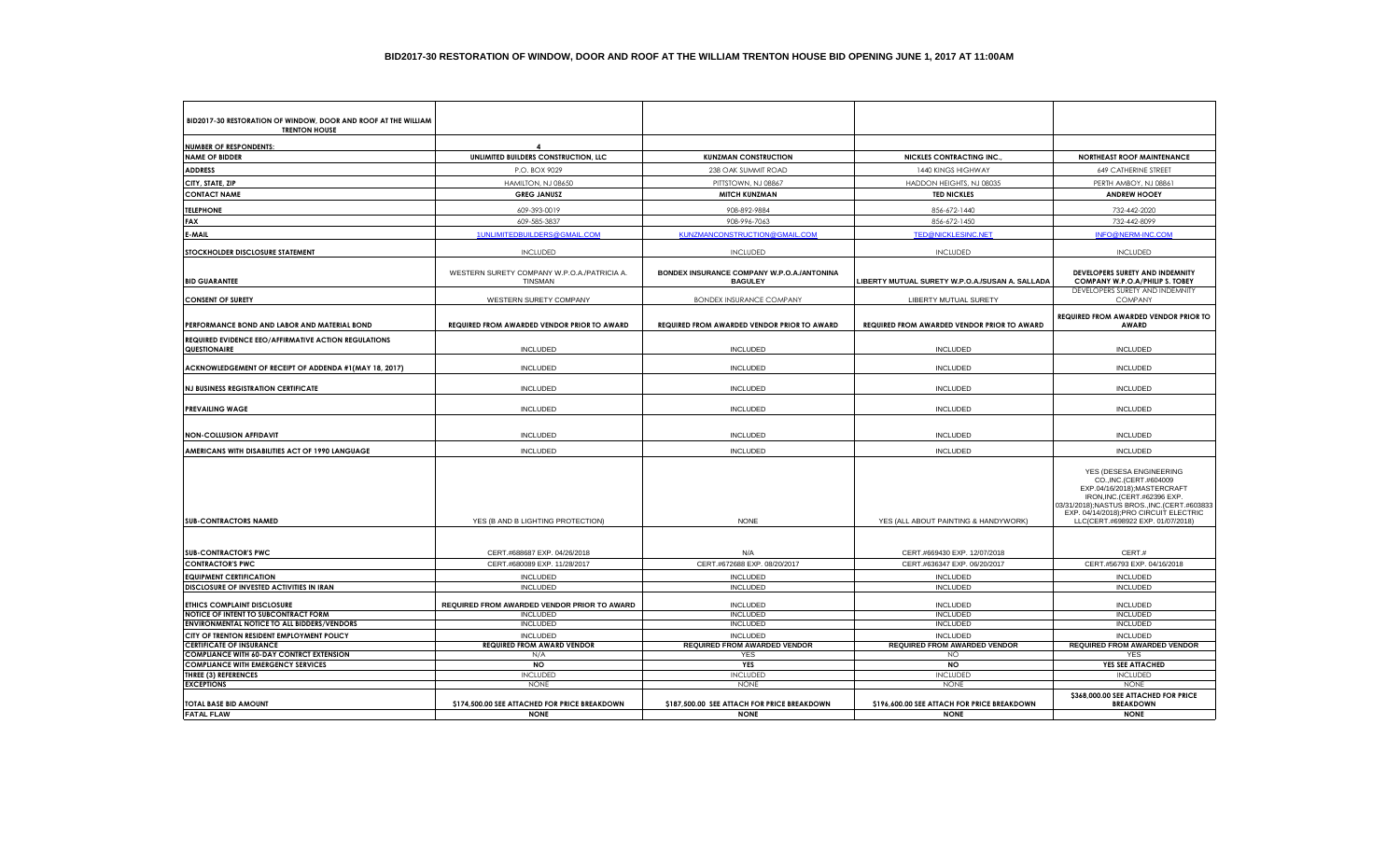| BID2017-30 RESTORATION OF WINDOW, DOOR AND ROOF AT THE WILLIAM<br><b>TRENTON HOUSE</b> |                                                               |                                                              |                                                    |                                                                                                                                                                                                                                                |
|----------------------------------------------------------------------------------------|---------------------------------------------------------------|--------------------------------------------------------------|----------------------------------------------------|------------------------------------------------------------------------------------------------------------------------------------------------------------------------------------------------------------------------------------------------|
|                                                                                        |                                                               |                                                              |                                                    |                                                                                                                                                                                                                                                |
| <b>NUMBER OF RESPONDENTS:</b><br><b>NAME OF BIDDER</b>                                 | $\boldsymbol{4}$<br>UNLIMITED BUILDERS CONSTRUCTION, LLC      | <b>KUNZMAN CONSTRUCTION</b>                                  | <b>NICKLES CONTRACTING INC.</b>                    | <b>NORTHEAST ROOF MAINTENANCE</b>                                                                                                                                                                                                              |
| <b>ADDRESS</b>                                                                         | P.O. BOX 9029                                                 | 238 OAK SUMMIT ROAD                                          | 1440 KINGS HIGHWAY                                 | 649 CATHERINE STREET                                                                                                                                                                                                                           |
|                                                                                        |                                                               |                                                              |                                                    |                                                                                                                                                                                                                                                |
| CITY, STATE, ZIP<br><b>CONTACT NAME</b>                                                | HAMILTON, NJ 08650<br><b>GREG JANUSZ</b>                      | PITTSTOWN, NJ 08867<br><b>MITCH KUNZMAN</b>                  | HADDON HEIGHTS, NJ 08035<br><b>TED NICKLES</b>     | PERTH AMBOY, NJ 08861<br><b>ANDREW HOOEY</b>                                                                                                                                                                                                   |
|                                                                                        |                                                               |                                                              |                                                    |                                                                                                                                                                                                                                                |
| <b>TELEPHONE</b>                                                                       | 609-393-0019                                                  | 908-892-9884                                                 | 856-672-1440                                       | 732-442-2020                                                                                                                                                                                                                                   |
| FAX                                                                                    | 609-585-3837                                                  | 908-996-7063                                                 | 856-672-1450                                       | 732-442-8099                                                                                                                                                                                                                                   |
| E-MAIL                                                                                 | 1UNLIMITEDBUILDERS@GMAIL.COM                                  | KUNZMANCONSTRUCTION@GMAIL.COM                                | <b>TED@NICKLESINC.NET</b>                          | INFO@NERM-INC.COM                                                                                                                                                                                                                              |
| STOCKHOLDER DISCLOSURE STATEMENT                                                       | <b>INCLUDED</b>                                               | <b>INCLUDED</b>                                              | <b>INCLUDED</b>                                    | <b>INCLUDED</b>                                                                                                                                                                                                                                |
| <b>BID GUARANTEE</b>                                                                   | WESTERN SURETY COMPANY W.P.O.A./PATRICIA A.<br><b>TINSMAN</b> | BONDEX INSURANCE COMPANY W.P.O.A./ANTONINA<br><b>BAGULEY</b> | LIBERTY MUTUAL SURETY W.P.O.A./SUSAN A. SALLADA    | DEVELOPERS SURETY AND INDEMNITY<br>COMPANY W.P.O.A/PHILIP S. TOBEY                                                                                                                                                                             |
| <b>CONSENT OF SURETY</b>                                                               | WESTERN SURETY COMPANY                                        | <b>BONDEX INSURANCE COMPANY</b>                              | LIBERTY MUTUAL SURETY                              | DEVELOPERS SURETY AND INDEMNITY<br><b>COMPANY</b>                                                                                                                                                                                              |
| PERFORMANCE BOND AND LABOR AND MATERIAL BOND                                           | <b>REQUIRED FROM AWARDED VENDOR PRIOR TO AWARD</b>            | <b>REQUIRED FROM AWARDED VENDOR PRIOR TO AWARD</b>           | <b>REQUIRED FROM AWARDED VENDOR PRIOR TO AWARD</b> | REQUIRED FROM AWARDED VENDOR PRIOR TO<br><b>AWARD</b>                                                                                                                                                                                          |
| REQUIRED EVIDENCE EEO/AFFIRMATIVE ACTION REGULATIONS                                   |                                                               |                                                              |                                                    |                                                                                                                                                                                                                                                |
| QUESTIONAIRE                                                                           | <b>INCLUDED</b>                                               | <b>INCLUDED</b>                                              | <b>INCLUDED</b>                                    | <b>INCLUDED</b>                                                                                                                                                                                                                                |
| ACKNOWLEDGEMENT OF RECEIPT OF ADDENDA #1(MAY 18, 2017)                                 | <b>INCLUDED</b>                                               | <b>INCLUDED</b>                                              | <b>INCLUDED</b>                                    | <b>INCLUDED</b>                                                                                                                                                                                                                                |
| <b>NJ BUSINESS REGISTRATION CERTIFICATE</b>                                            | <b>INCLUDED</b>                                               | <b>INCLUDED</b>                                              | <b>INCLUDED</b>                                    | <b>INCLUDED</b>                                                                                                                                                                                                                                |
| <b>PREVAILING WAGE</b>                                                                 | <b>INCLUDED</b>                                               | <b>INCLUDED</b>                                              | <b>INCLUDED</b>                                    | <b>INCLUDED</b>                                                                                                                                                                                                                                |
| NON-COLLUSION AFFIDAVIT                                                                | <b>INCLUDED</b>                                               | <b>INCLUDED</b>                                              | <b>INCLUDED</b>                                    | <b>INCLUDED</b>                                                                                                                                                                                                                                |
| AMERICANS WITH DISABILITIES ACT OF 1990 LANGUAGE                                       | <b>INCLUDED</b>                                               | <b>INCLUDED</b>                                              | <b>INCLUDED</b>                                    | <b>INCLUDED</b>                                                                                                                                                                                                                                |
| <b>SUB-CONTRACTORS NAMED</b>                                                           | YES (B AND B LIGHTING PROTECTION)                             | <b>NONE</b>                                                  | YES (ALL ABOUT PAINTING & HANDYWORK)               | YES (DESESA ENGINEERING<br>CO., INC. (CERT.#604009<br>EXP.04/16/2018);MASTERCRAFT<br>IRON, INC. (CERT. #62396 EXP.<br>03/31/2018);NASTUS BROS.,INC.(CERT.#603833<br>EXP. 04/14/2018);PRO CIRCUIT ELECTRIC<br>LLC(CERT.#698922 EXP. 01/07/2018) |
|                                                                                        |                                                               |                                                              |                                                    |                                                                                                                                                                                                                                                |
| <b>SUB-CONTRACTOR'S PWC</b>                                                            | CERT.#688687 EXP. 04/26/2018                                  | N/A                                                          | CERT.#669430 EXP. 12/07/2018                       | CERT.#                                                                                                                                                                                                                                         |
| <b>CONTRACTOR'S PWC</b>                                                                | CERT.#680089 EXP. 11/28/2017                                  | CERT.#672688 EXP. 08/20/2017                                 | CERT.#636347 EXP. 06/20/2017                       | CERT.#56793 EXP. 04/16/2018                                                                                                                                                                                                                    |
| <b>EQUIPMENT CERTIFICATION</b>                                                         | <b>INCLUDED</b>                                               | <b>INCLUDED</b>                                              | <b>INCLUDED</b>                                    | <b>INCLUDED</b>                                                                                                                                                                                                                                |
| DISCLOSURE OF INVESTED ACTIVITIES IN IRAN                                              | <b>INCLUDED</b>                                               | <b>INCLUDED</b>                                              | <b>INCLUDED</b>                                    | <b>INCLUDED</b>                                                                                                                                                                                                                                |
| <b>ETHICS COMPLAINT DISCLOSURE</b>                                                     | REQUIRED FROM AWARDED VENDOR PRIOR TO AWARD                   | <b>INCLUDED</b>                                              | <b>INCLUDED</b>                                    | <b>INCLUDED</b>                                                                                                                                                                                                                                |
| NOTICE OF INTENT TO SUBCONTRACT FORM                                                   | <b>INCLUDED</b>                                               | <b>INCLUDED</b>                                              | <b>INCLUDED</b>                                    | <b>INCLUDED</b>                                                                                                                                                                                                                                |
| <b>ENVIRONMENTAL NOTICE TO ALL BIDDERS/VENDORS</b>                                     | <b>INCLUDED</b>                                               | <b>INCLUDED</b>                                              | <b>INCLUDED</b>                                    | <b>INCLUDED</b>                                                                                                                                                                                                                                |
| CITY OF TRENTON RESIDENT EMPLOYMENT POLICY                                             | <b>INCLUDED</b>                                               | <b>INCLUDED</b>                                              | <b>INCLUDED</b>                                    | <b>INCLUDED</b>                                                                                                                                                                                                                                |
| <b>CERTIFICATE OF INSURANCE</b>                                                        | <b>REQUIRED FROM AWARD VENDOR</b>                             | REQUIRED FROM AWARDED VENDOR                                 | <b>REQUIRED FROM AWARDED VENDOR</b>                | <b>REQUIRED FROM AWARDED VENDOR</b>                                                                                                                                                                                                            |
| <b>COMPLIANCE WITH 60-DAY CONTRCT EXTENSION</b>                                        | N/A                                                           | <b>YES</b>                                                   | <b>NO</b>                                          | YES                                                                                                                                                                                                                                            |
| <b>COMPLIANCE WITH EMERGENCY SERVICES</b>                                              | <b>NO</b>                                                     | <b>YES</b>                                                   | <b>NO</b>                                          | YES SEE ATTACHED                                                                                                                                                                                                                               |
| <b>THREE (3) REFERENCES</b><br><b>EXCEPTIONS</b>                                       | <b>INCLUDED</b><br><b>NONE</b>                                | <b>INCLUDED</b><br><b>NONE</b>                               | <b>INCLUDED</b><br><b>NONE</b>                     | <b>INCLUDED</b><br><b>NONE</b>                                                                                                                                                                                                                 |
| <b>TOTAL BASE BID AMOUNT</b>                                                           | \$174,500.00 SEE ATTACHED FOR PRICE BREAKDOWN                 | \$187,500.00 SEE ATTACH FOR PRICE BREAKDOWN                  | \$196,600.00 SEE ATTACH FOR PRICE BREAKDOWN        | \$368,000.00 SEE ATTACHED FOR PRICE<br><b>BREAKDOWN</b>                                                                                                                                                                                        |
| <b>FATAL FLAW</b>                                                                      | <b>NONE</b>                                                   | <b>NONE</b>                                                  | <b>NONE</b>                                        | <b>NONE</b>                                                                                                                                                                                                                                    |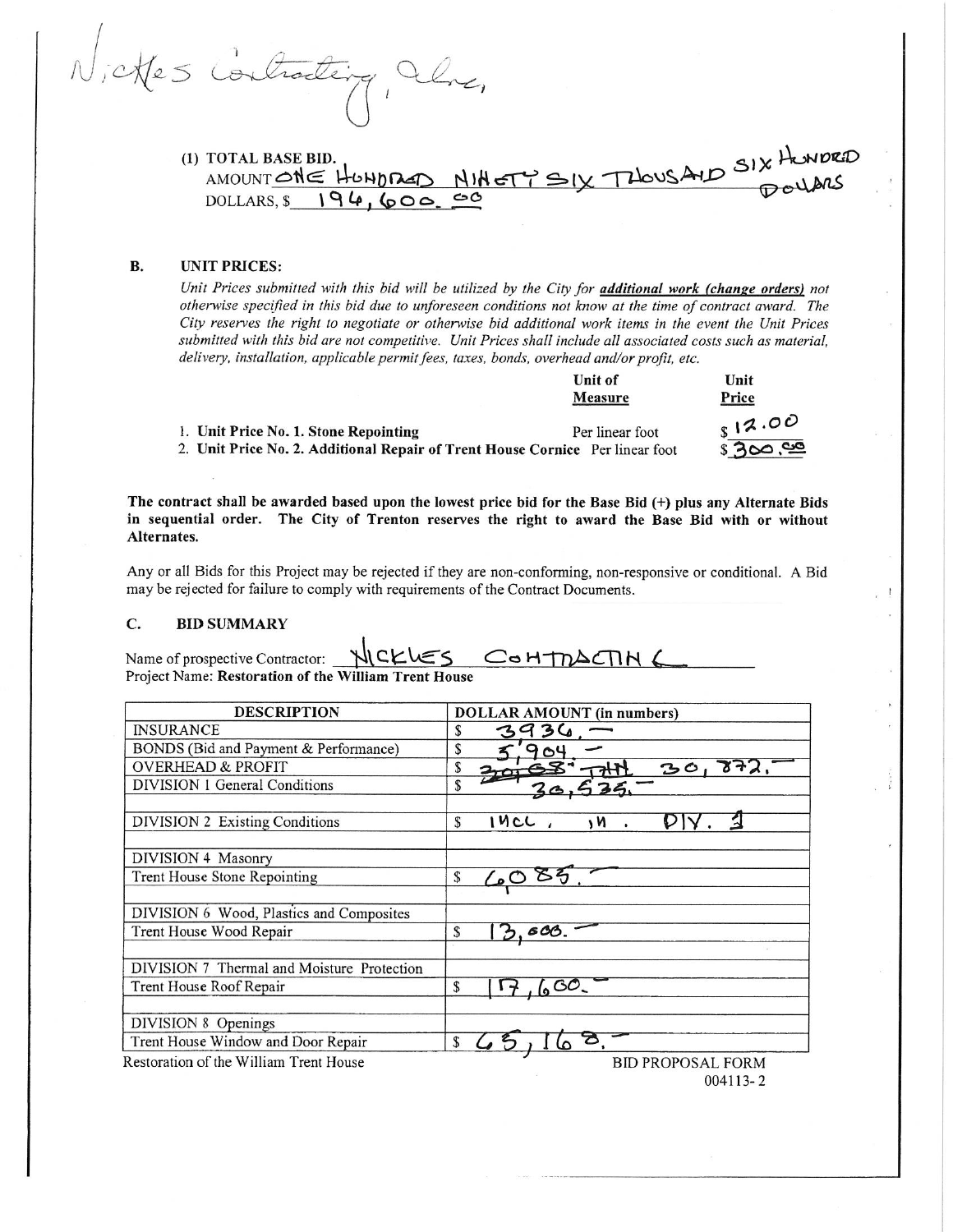ches Contracte

IX THOUSAID SIX HUNDRED (1) TOTAL BASE BID. AMOUNT ONE HONDRED NIHET DOLLARS,  $$194,600.00$ 

# **UNIT PRICES: B.**

Unit Prices submitted with this bid will be utilized by the City for *additional work (change orders)* not otherwise specified in this bid due to unforeseen conditions not know at the time of contract award. The City reserves the right to negotiate or otherwise bid additional work items in the event the Unit Prices submitted with this bid are not competitive. Unit Prices shall include all associated costs such as material, delivery, installation, applicable permit fees, taxes, bonds, overhead and/or profit, etc.

|                                                                               | Unit of         | Unit     |
|-------------------------------------------------------------------------------|-----------------|----------|
|                                                                               | Measure         | Price    |
| 1. Unit Price No. 1. Stone Repointing                                         | Per linear foot | 812.00   |
| 2. Unit Price No. 2. Additional Repair of Trent House Cornice Per linear foot |                 | \$300,00 |

The contract shall be awarded based upon the lowest price bid for the Base Bid (+) plus any Alternate Bids in sequential order. The City of Trenton reserves the right to award the Base Bid with or without Alternates.

Any or all Bids for this Project may be rejected if they are non-conforming, non-responsive or conditional. A Bid may be rejected for failure to comply with requirements of the Contract Documents.

### C. **BID SUMMARY**

NICKLES COHTMACTIN Name of prospective Contractor: Project Name: Restoration of the William Trent House

| <b>DESCRIPTION</b>                         | <b>DOLLAR AMOUNT</b> (in numbers) |
|--------------------------------------------|-----------------------------------|
| <b>INSURANCE</b>                           | 3 <sub>0</sub><br>S<br>39         |
| BONDS (Bid and Payment & Performance)      | S<br>64                           |
| <b>OVERHEAD &amp; PROFIT</b>               | \$<br>301<br>872.                 |
| DIVISION 1 General Conditions              | \$                                |
|                                            |                                   |
| DIVISION 2 Existing Conditions             | 14CL<br>\$<br>n (                 |
|                                            |                                   |
| DIVISION 4 Masonry                         |                                   |
| Trent House Stone Repointing               | \$                                |
|                                            |                                   |
| DIVISION 6 Wood, Plastics and Composites   |                                   |
| Trent House Wood Repair                    | \$<br>.600.                       |
|                                            |                                   |
| DIVISION 7 Thermal and Moisture Protection |                                   |
| Trent House Roof Repair                    | 60<br>S                           |
|                                            |                                   |
| DIVISION 8 Openings                        |                                   |
| Trent House Window and Door Repair         | \$                                |
| Restoration of the William Trent House     | <b>BID PROPOSAL FORM</b>          |
|                                            | 004113-2                          |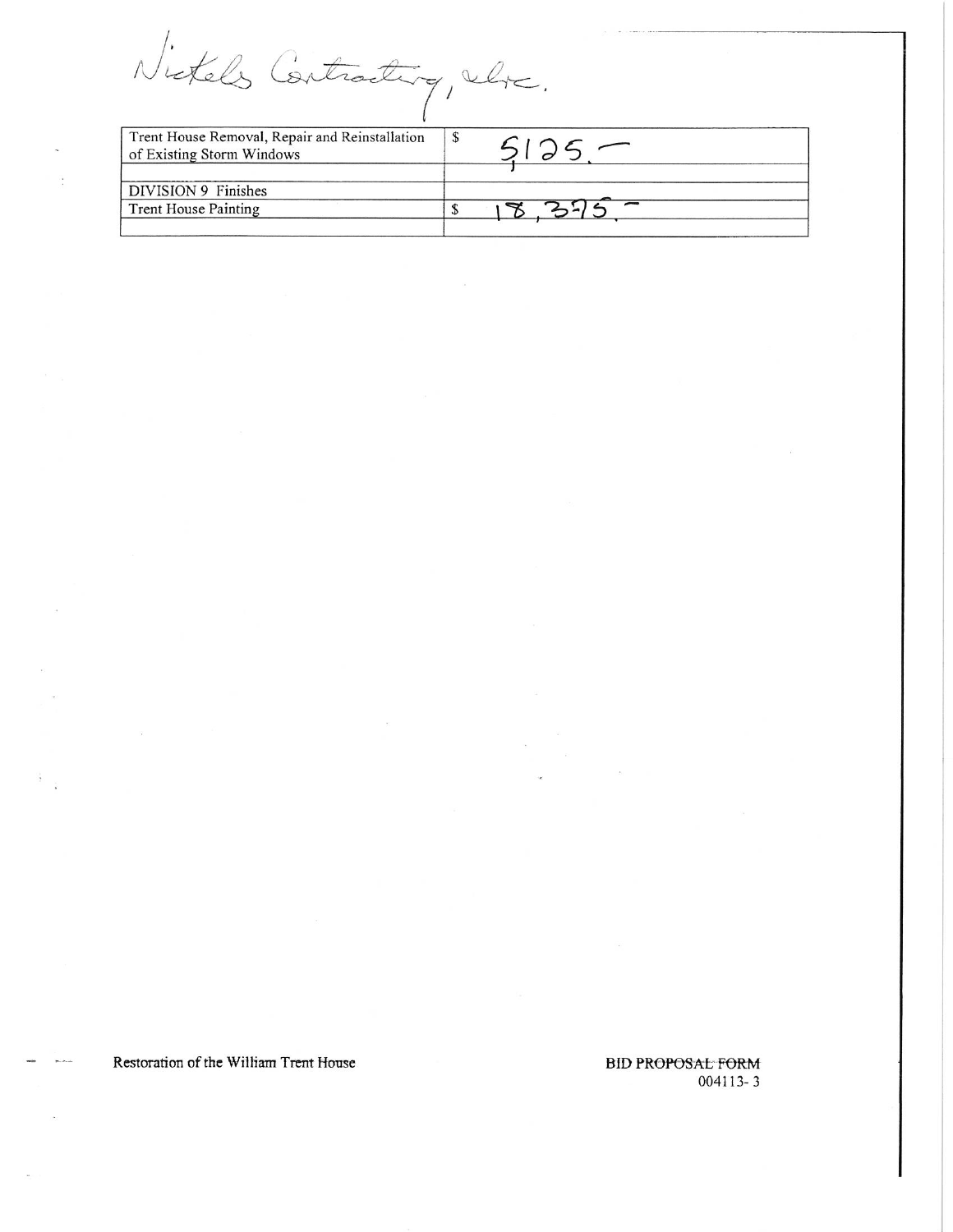Nictels Contracting, where.

| Trent House Removal, Repair and Reinstallation<br>of Existing Storm Windows | <b>S</b> |
|-----------------------------------------------------------------------------|----------|
| DIVISION 9 Finishes                                                         |          |
| Trent House Painting                                                        |          |
|                                                                             |          |

Restoration of the William Trent House

**BID PROPOSAL FORM** 004113-3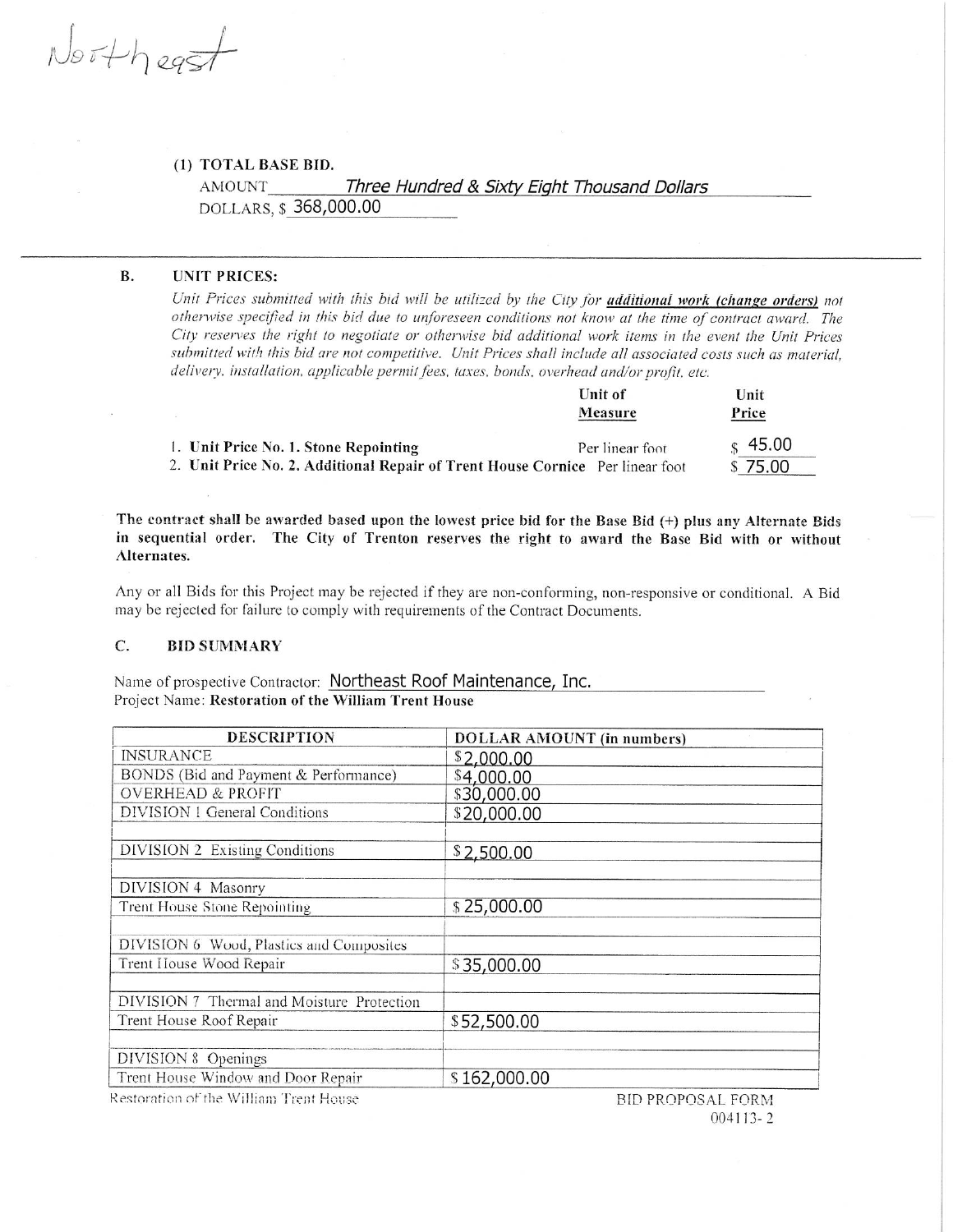$N$ orthegs

# (1) TOTAL BASE BID.

AMOUNT Three Hundred & Sixty Eight Thousand Dollars DOLLARS, \$368,000.00

## **B. UNIT PRICES:**

Unit Prices submitted with this bid will be utilized by the City for *additional work (change orders)* not otherwise specified in this bid due to unforeseen conditions not know at the time of contract award. The City reserves the right to negotiate or otherwise bid additional work items in the event the Unit Prices submitted with this bid are not competitive. Unit Prices shall include all associated costs such as material, delivery, installation, applicable permit fees, taxes, bonds, overhead and/or profit, etc.

 $\mathbf{r}$   $\mathbf{r}$   $\mathbf{r}$   $\mathbf{r}$ 

|                                                                               | UNIL OI<br>Measure | Unit<br>Price       |
|-------------------------------------------------------------------------------|--------------------|---------------------|
| 1. Unit Price No. 1. Stone Repointing                                         | Per linear foot    | $\frac{1}{2}$ 45.00 |
| 2. Unit Price No. 2. Additional Repair of Trent House Cornice Per linear foot |                    | \$75.00             |

The contract shall be awarded based upon the lowest price bid for the Base Bid (+) plus any Alternate Bids in sequential order. The City of Trenton reserves the right to award the Base Bid with or without Alternates.

Any or all Bids for this Project may be rejected if they are non-conforming, non-responsive or conditional. A Bid may be rejected for failure to comply with requirements of the Contract Documents.

### $\mathbf{C}$ . **BID SUMMARY**

Name of prospective Contractor: Northeast Roof Maintenance, Inc. Project Name: Restoration of the William Trent House

| <b>DESCRIPTION</b>                                                                                                                                                                                                                                                                                                                        | <b>DOLLAR AMOUNT</b> (in numbers) |
|-------------------------------------------------------------------------------------------------------------------------------------------------------------------------------------------------------------------------------------------------------------------------------------------------------------------------------------------|-----------------------------------|
| <b>INSURANCE</b>                                                                                                                                                                                                                                                                                                                          | \$2,000.00                        |
| BONDS (Bid and Payment & Performance)                                                                                                                                                                                                                                                                                                     | \$4,000.00                        |
| <b>OVERHEAD &amp; PROFIT</b>                                                                                                                                                                                                                                                                                                              | \$30,000.00                       |
| DIVISION 1 General Conditions                                                                                                                                                                                                                                                                                                             | \$20,000.00                       |
|                                                                                                                                                                                                                                                                                                                                           |                                   |
| DIVISION 2 Existing Conditions                                                                                                                                                                                                                                                                                                            | \$2,500.00                        |
|                                                                                                                                                                                                                                                                                                                                           |                                   |
| DIVISION 4 Masonry                                                                                                                                                                                                                                                                                                                        |                                   |
| Trent House Stone Repointing                                                                                                                                                                                                                                                                                                              | \$25,000.00                       |
|                                                                                                                                                                                                                                                                                                                                           |                                   |
| DIVISION 6 Wood, Plastics and Composites                                                                                                                                                                                                                                                                                                  |                                   |
| Trent House Wood Repair                                                                                                                                                                                                                                                                                                                   | \$35,000.00                       |
|                                                                                                                                                                                                                                                                                                                                           |                                   |
| DIVISION 7 Thermal and Moisture Protection                                                                                                                                                                                                                                                                                                |                                   |
| Trent House Roof Repair                                                                                                                                                                                                                                                                                                                   | \$52,500.00                       |
|                                                                                                                                                                                                                                                                                                                                           |                                   |
| DIVISION 8 Openings                                                                                                                                                                                                                                                                                                                       |                                   |
| Trent House Window and Door Repair                                                                                                                                                                                                                                                                                                        | \$162,000.00                      |
| $\mathbf{r}$ , $\mathbf{r}$ , $\mathbf{r}$ , $\mathbf{r}$ , $\mathbf{r}$ , $\mathbf{r}$ , $\mathbf{r}$ , $\mathbf{r}$ , $\mathbf{r}$ , $\mathbf{r}$ , $\mathbf{r}$ , $\mathbf{r}$ , $\mathbf{r}$ , $\mathbf{r}$ , $\mathbf{r}$ , $\mathbf{r}$ , $\mathbf{r}$ , $\mathbf{r}$ , $\mathbf{r}$ , $\mathbf{r}$ , $\mathbf{r}$ , $\mathbf{r}$ , |                                   |

Restoration of the William Trent House

BID PROPOSAL FORM  $004113 - 2$